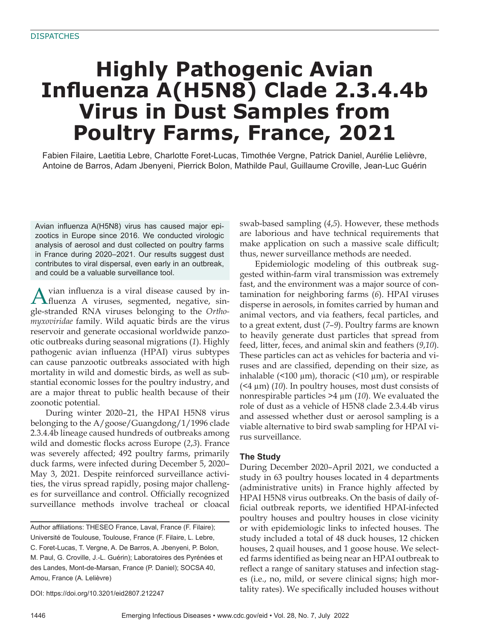# **Highly Pathogenic Avian Influenza A(H5N8) Clade 2.3.4.4b Virus in Dust Samples from Poultry Farms, France, 2021**

Fabien Filaire, Laetitia Lebre, Charlotte Foret-Lucas, Timothée Vergne, Patrick Daniel, Aurélie Lelièvre, Antoine de Barros, Adam Jbenyeni, Pierrick Bolon, Mathilde Paul, Guillaume Croville, Jean-Luc Guérin

Avian influenza A(H5N8) virus has caused major epizootics in Europe since 2016. We conducted virologic analysis of aerosol and dust collected on poultry farms in France during 2020–2021. Our results suggest dust contributes to viral dispersal, even early in an outbreak, and could be a valuable surveillance tool.

Avian influenza is a viral disease caused by in-fluenza A viruses, segmented, negative, single-stranded RNA viruses belonging to the *Orthomyxoviridae* family. Wild aquatic birds are the virus reservoir and generate occasional worldwide panzootic outbreaks during seasonal migrations (*1*). Highly pathogenic avian influenza (HPAI) virus subtypes can cause panzootic outbreaks associated with high mortality in wild and domestic birds, as well as substantial economic losses for the poultry industry, and are a major threat to public health because of their zoonotic potential.

During winter 2020–21, the HPAI H5N8 virus belonging to the A/goose/Guangdong/1/1996 clade 2.3.4.4b lineage caused hundreds of outbreaks among wild and domestic flocks across Europe (*2*,*3*). France was severely affected; 492 poultry farms, primarily duck farms, were infected during December 5, 2020– May 3, 2021. Despite reinforced surveillance activities, the virus spread rapidly, posing major challenges for surveillance and control. Officially recognized surveillance methods involve tracheal or cloacal

Author affiliations: THESEO France, Laval, France (F. Filaire); Université de Toulouse, Toulouse, France (F. Filaire, L. Lebre, C. Foret-Lucas, T. Vergne, A. De Barros, A. Jbenyeni, P. Bolon, M. Paul, G. Croville, J.-L. Guérin); Laboratoires des Pyrénées et des Landes, Mont-de-Marsan, France (P. Daniel); SOCSA 40, Amou, France (A. Lelièvre)

DOI: https://doi.org/10.3201/eid2807.212247

swab-based sampling (*4*,*5*). However, these methods are laborious and have technical requirements that make application on such a massive scale difficult; thus, newer surveillance methods are needed.

Epidemiologic modeling of this outbreak suggested within-farm viral transmission was extremely fast, and the environment was a major source of contamination for neighboring farms (*6*). HPAI viruses disperse in aerosols, in fomites carried by human and animal vectors, and via feathers, fecal particles, and to a great extent, dust (*7*–*9*). Poultry farms are known to heavily generate dust particles that spread from feed, litter, feces, and animal skin and feathers (*9*,*10*). These particles can act as vehicles for bacteria and viruses and are classified, depending on their size, as inhalable ( $\leq 100 \mu m$ ), thoracic ( $\leq 10 \mu m$ ), or respirable (<4 µm) (*10*). In poultry houses, most dust consists of nonrespirable particles >4 µm (*10*). We evaluated the role of dust as a vehicle of H5N8 clade 2.3.4.4b virus and assessed whether dust or aerosol sampling is a viable alternative to bird swab sampling for HPAI virus surveillance.

### **The Study**

During December 2020–April 2021, we conducted a study in 63 poultry houses located in 4 departments (administrative units) in France highly affected by HPAI H5N8 virus outbreaks. On the basis of daily official outbreak reports, we identified HPAI-infected poultry houses and poultry houses in close vicinity or with epidemiologic links to infected houses. The study included a total of 48 duck houses, 12 chicken houses, 2 quail houses, and 1 goose house. We selected farms identified as being near an HPAI outbreak to reflect a range of sanitary statuses and infection stages (i.e., no, mild, or severe clinical signs; high mortality rates). We specifically included houses without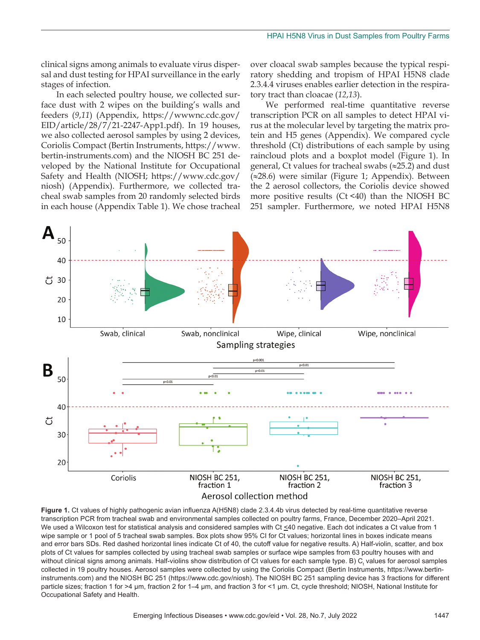clinical signs among animals to evaluate virus dispersal and dust testing for HPAI surveillance in the early stages of infection.

In each selected poultry house, we collected surface dust with 2 wipes on the building's walls and feeders (*9*,*11*) (Appendix, https://wwwnc.cdc.gov/ EID/article/28/7/21-2247-App1.pdf). In 19 houses, we also collected aerosol samples by using 2 devices, Coriolis Compact (Bertin Instruments, https://www. bertin-instruments.com) and the NIOSH BC 251 developed by the National Institute for Occupational Safety and Health (NIOSH; https://www.cdc.gov/ niosh) (Appendix). Furthermore, we collected tracheal swab samples from 20 randomly selected birds in each house (Appendix Table 1). We chose tracheal

over cloacal swab samples because the typical respiratory shedding and tropism of HPAI H5N8 clade 2.3.4.4 viruses enables earlier detection in the respiratory tract than cloacae (*12*,*13*).

We performed real-time quantitative reverse transcription PCR on all samples to detect HPAI virus at the molecular level by targeting the matrix protein and H5 genes (Appendix). We compared cycle threshold (Ct) distributions of each sample by using raincloud plots and a boxplot model (Figure 1). In general, Ct values for tracheal swabs (≈25.2) and dust (≈28.6) were similar (Figure 1; Appendix). Between the 2 aerosol collectors, the Coriolis device showed more positive results (Ct <40) than the NIOSH BC 251 sampler. Furthermore, we noted HPAI H5N8



**Figure 1.** Ct values of highly pathogenic avian influenza A(H5N8) clade 2.3.4.4b virus detected by real-time quantitative reverse transcription PCR from tracheal swab and environmental samples collected on poultry farms, France, December 2020–April 2021. We used a Wilcoxon test for statistical analysis and considered samples with Ct <40 negative. Each dot indicates a Ct value from 1 wipe sample or 1 pool of 5 tracheal swab samples. Box plots show 95% CI for Ct values; horizontal lines in boxes indicate means and error bars SDs. Red dashed horizontal lines indicate Ct of 40, the cutoff value for negative results. A) Half-violin, scatter, and box plots of Ct values for samples collected by using tracheal swab samples or surface wipe samples from 63 poultry houses with and without clinical signs among animals. Half-violins show distribution of Ct values for each sample type. B) C<sub>t</sub> values for aerosol samples collected in 19 poultry houses. Aerosol samples were collected by using the Coriolis Compact (Bertin Instruments, https://www.bertininstruments.com) and the NIOSH BC 251 (https://www.cdc.gov/niosh). The NIOSH BC 251 sampling device has 3 fractions for different particle sizes; fraction 1 for >4 µm, fraction 2 for 1–4 µm, and fraction 3 for <1 µm. Ct, cycle threshold; NIOSH, National Institute for Occupational Safety and Health.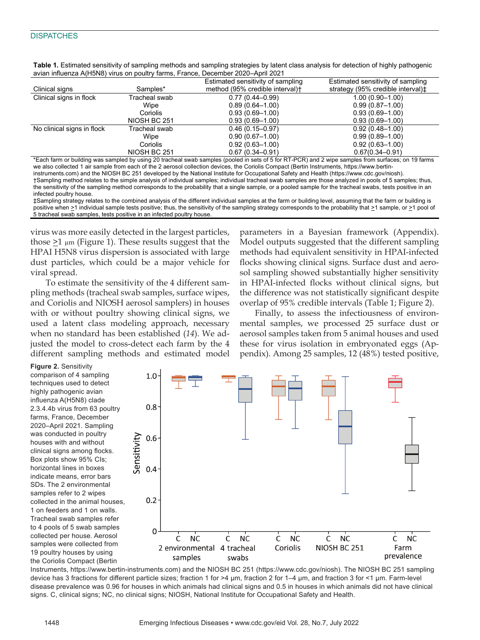## **DISPATCHES**

| avidit immacriza / (Fiorvo) virus chi poditi y furnisi, i furnoc, Docchiber 2020 / (phi 2021 |               |                                   |                                                              |  |  |  |  |  |  |  |
|----------------------------------------------------------------------------------------------|---------------|-----------------------------------|--------------------------------------------------------------|--|--|--|--|--|--|--|
|                                                                                              |               | Estimated sensitivity of sampling | Estimated sensitivity of sampling                            |  |  |  |  |  |  |  |
| Clinical signs                                                                               | Samples*      | method (95% credible interval)+   | strategy (95% credible interval) <sup><math>\pm</math></sup> |  |  |  |  |  |  |  |
| Clinical signs in flock                                                                      | Tracheal swab | $0.77(0.44 - 0.99)$               | $1.00(0.90 - 1.00)$                                          |  |  |  |  |  |  |  |
|                                                                                              | Wipe          | $0.89(0.64 - 1.00)$               | $0.99(0.87 - 1.00)$                                          |  |  |  |  |  |  |  |
|                                                                                              | Coriolis      | $0.93(0.69 - 1.00)$               | $0.93(0.69 - 1.00)$                                          |  |  |  |  |  |  |  |
|                                                                                              | NIOSH BC 251  | $0.93(0.69 - 1.00)$               | $0.93(0.69 - 1.00)$                                          |  |  |  |  |  |  |  |
| No clinical signs in flock                                                                   | Tracheal swab | $0.46(0.15 - 0.97)$               | $0.92(0.48 - 1.00)$                                          |  |  |  |  |  |  |  |
|                                                                                              | Wipe          | $0.90(0.67 - 1.00)$               | $0.99(0.89 - 1.00)$                                          |  |  |  |  |  |  |  |
|                                                                                              | Coriolis      | $0.92(0.63 - 1.00)$               | $0.92(0.63 - 1.00)$                                          |  |  |  |  |  |  |  |
|                                                                                              | NIOSH BC 251  | $0.67(0.34 - 0.91)$               | $0.67(0.34 - 0.91)$                                          |  |  |  |  |  |  |  |
|                                                                                              |               |                                   |                                                              |  |  |  |  |  |  |  |

**Table 1.** Estimated sensitivity of sampling methods and sampling strategies by latent class analysis for detection of highly pathogenic avian influenza A(H5N8) virus on poultry farms, France, December 2020–April 2021

\*Each farm or building was sampled by using 20 tracheal swab samples (pooled in sets of 5 for RT-PCR) and 2 wipe samples from surfaces; on 19 farms we also collected 1 air sample from each of the 2 aerosol collection devices, the Coriolis Compact (Bertin Instruments, https://www.bertininstruments.com) and the NIOSH BC 251 developed by the National Institute for Occupational Safety and Health (https://www.cdc.gov/niosh). †Sampling method relates to the simple analysis of individual samples; individual tracheal swab samples are those analyzed in pools of 5 samples; thus, the sensitivity of the sampling method corresponds to the probability that a single sample, or a pooled sample for the tracheal swabs, tests positive in an infected poultry house.

‡Sampling strategy relates to the combined analysis of the different individual samples at the farm or building level, assuming that the farm or building is positive when >1 individual sample tests positive; thus, the sensitivity of the sampling strategy corresponds to the probability that >1 sample, or >1 pool of 5 tracheal swab samples, tests positive in an infected poultry house.

virus was more easily detected in the largest particles, those  $\geq 1$  µm (Figure 1). These results suggest that the HPAI H5N8 virus dispersion is associated with large dust particles, which could be a major vehicle for viral spread.

To estimate the sensitivity of the 4 different sampling methods (tracheal swab samples, surface wipes, and Coriolis and NIOSH aerosol samplers) in houses with or without poultry showing clinical signs, we used a latent class modeling approach, necessary when no standard has been established (*14*). We adjusted the model to cross-detect each farm by the 4 different sampling methods and estimated model

parameters in a Bayesian framework (Appendix). Model outputs suggested that the different sampling methods had equivalent sensitivity in HPAI-infected flocks showing clinical signs. Surface dust and aerosol sampling showed substantially higher sensitivity in HPAI-infected flocks without clinical signs, but the difference was not statistically significant despite overlap of 95% credible intervals (Table 1; Figure 2).

Finally, to assess the infectiousness of environmental samples, we processed 25 surface dust or aerosol samples taken from 5 animal houses and used these for virus isolation in embryonated eggs (Appendix). Among 25 samples, 12 (48%) tested positive,

**Figure 2.** Sensitivity comparison of 4 sampling techniques used to detect highly pathogenic avian influenza A(H5N8) clade 2.3.4.4b virus from 63 poultry farms, France, December 2020–April 2021. Sampling was conducted in poultry houses with and without clinical signs among flocks. Box plots show 95% CIs; horizontal lines in boxes indicate means, error bars SDs. The 2 environmental samples refer to 2 wipes collected in the animal houses, 1 on feeders and 1 on walls. Tracheal swab samples refer to 4 pools of 5 swab samples collected per house. Aerosol samples were collected from 19 poultry houses by using the Coriolis Compact (Bertin



Instruments, https://www.bertin-instruments.com) and the NIOSH BC 251 (https://www.cdc.gov/niosh). The NIOSH BC 251 sampling device has 3 fractions for different particle sizes; fraction 1 for >4 µm, fraction 2 for 1–4 µm, and fraction 3 for <1 µm. Farm-level disease prevalence was 0.96 for houses in which animals had clinical signs and 0.5 in houses in which animals did not have clinical signs. C, clinical signs; NC, no clinical signs; NIOSH, National Institute for Occupational Safety and Health.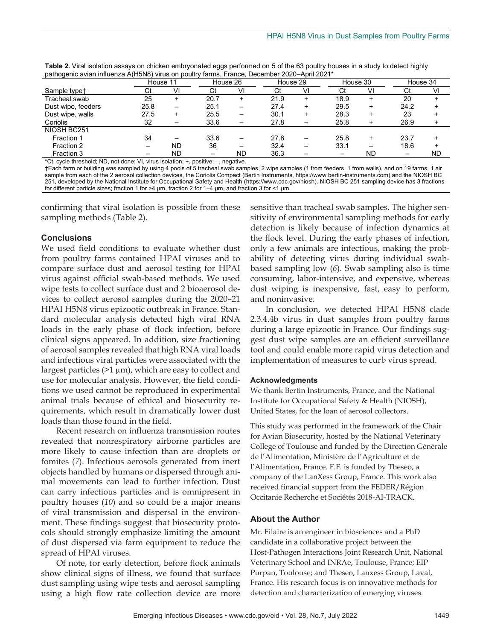| patriogenio aviam imitienza / (friente) virtuo en poditi y lamno, i rance, Decennoci Zoze / (phi Zoz i |               |                          |          |          |      |           |      |           |      |           |  |
|--------------------------------------------------------------------------------------------------------|---------------|--------------------------|----------|----------|------|-----------|------|-----------|------|-----------|--|
|                                                                                                        | House 11      |                          |          | House 26 |      | House 29  |      | House 30  |      | House 34  |  |
| Sample type <sup>+</sup>                                                                               |               | VI                       | Ct       | VI       |      | VI        | Ct   | VI        | Ct   | VI        |  |
| Tracheal swab                                                                                          | 25            | ٠                        | 20.7     | +        | 21.9 | ÷         | 18.9 | +         | 20   |           |  |
| Dust wipe, feeders                                                                                     | 25.8          | $\overline{\phantom{0}}$ | 25.1     | —        | 27.4 | $\ddot{}$ | 29.5 | +         | 24.2 |           |  |
| Dust wipe, walls                                                                                       | 27.5          | ÷                        | 25.5     | —        | 30.1 | +         | 28.3 | +         | 23   |           |  |
| Coriolis                                                                                               | 32            |                          | 33.6     | —        | 27.8 |           | 25.8 | +         | 26.9 |           |  |
| NIOSH BC251                                                                                            |               |                          |          |          |      |           |      |           |      |           |  |
| Fraction 1                                                                                             | 34            |                          | 33.6     | —        | 27.8 |           | 25.8 |           | 23.7 |           |  |
| Fraction 2                                                                                             |               | <b>ND</b>                | 36       | -        | 32.4 |           | 33.1 |           | 18.6 |           |  |
| Fraction 3                                                                                             |               | ND                       |          | ND       | 36.3 |           |      | <b>ND</b> |      | <b>ND</b> |  |
|                                                                                                        | $\sim$ $\sim$ |                          | $\cdots$ |          |      |           |      |           |      |           |  |

**Table 2.** Viral isolation assays on chicken embryonated eggs performed on 5 of the 63 poultry houses in a study to detect highly pathogenic avian influenza A(H5N8) virus on poultry farms, France, December 2020–April 2021\*

\*Ct, cycle threshold; ND, not done; VI, virus isolation; +, positive; –, negative.

†Each farm or building was sampled by using 4 pools of 5 tracheal swab samples, 2 wipe samples (1 from feeders, 1 from walls), and on 19 farms, 1 air sample from each of the 2 aerosol collection devices, the Coriolis Compact (Bertin Instruments, https://www.bertin-instruments.com) and the NIOSH BC 251, developed by the National Institute for Occupational Safety and Health (https://www.cdc.gov/niosh). NIOSH BC 251 sampling device has 3 fractions for different particle sizes; fraction 1 for >4 µm, fraction 2 for 1–4 µm, and fraction 3 for <1 µm.

confirming that viral isolation is possible from these sampling methods (Table 2).

# **Conclusions**

We used field conditions to evaluate whether dust from poultry farms contained HPAI viruses and to compare surface dust and aerosol testing for HPAI virus against official swab-based methods. We used wipe tests to collect surface dust and 2 bioaerosol devices to collect aerosol samples during the 2020–21 HPAI H5N8 virus epizootic outbreak in France. Standard molecular analysis detected high viral RNA loads in the early phase of flock infection, before clinical signs appeared. In addition, size fractioning of aerosol samples revealed that high RNA viral loads and infectious viral particles were associated with the largest particles (>1 µm), which are easy to collect and use for molecular analysis. However, the field conditions we used cannot be reproduced in experimental animal trials because of ethical and biosecurity requirements, which result in dramatically lower dust loads than those found in the field.

Recent research on influenza transmission routes revealed that nonrespiratory airborne particles are more likely to cause infection than are droplets or fomites (*7*). Infectious aerosols generated from inert objects handled by humans or dispersed through animal movements can lead to further infection. Dust can carry infectious particles and is omnipresent in poultry houses (*10*) and so could be a major means of viral transmission and dispersal in the environment. These findings suggest that biosecurity protocols should strongly emphasize limiting the amount of dust dispersed via farm equipment to reduce the spread of HPAI viruses.

Of note, for early detection, before flock animals show clinical signs of illness, we found that surface dust sampling using wipe tests and aerosol sampling using a high flow rate collection device are more sensitive than tracheal swab samples. The higher sensitivity of environmental sampling methods for early detection is likely because of infection dynamics at the flock level. During the early phases of infection, only a few animals are infectious, making the probability of detecting virus during individual swabbased sampling low (*6*). Swab sampling also is time consuming, labor-intensive, and expensive, whereas dust wiping is inexpensive, fast, easy to perform, and noninvasive.

In conclusion, we detected HPAI H5N8 clade 2.3.4.4b virus in dust samples from poultry farms during a large epizootic in France. Our findings suggest dust wipe samples are an efficient surveillance tool and could enable more rapid virus detection and implementation of measures to curb virus spread.

#### **Acknowledgments**

We thank Bertin Instruments, France, and the National Institute for Occupational Safety & Health (NIOSH), United States, for the loan of aerosol collectors.

This study was performed in the framework of the Chair for Avian Biosecurity, hosted by the National Veterinary College of Toulouse and funded by the Direction Générale de l'Alimentation, Ministère de l'Agriculture et de l'Alimentation, France. F.F. is funded by Theseo, a company of the LanXess Group, France. This work also received financial support from the FEDER/Région Occitanie Recherche et Sociétés 2018-AI-TRACK.

#### **About the Author**

Mr. Filaire is an engineer in biosciences and a PhD candidate in a collaborative project between the Host-Pathogen Interactions Joint Research Unit, National Veterinary School and INRAe, Toulouse, France; EIP Purpan, Toulouse; and Theseo, Lanxess Group, Laval, France. His research focus is on innovative methods for detection and characterization of emerging viruses.